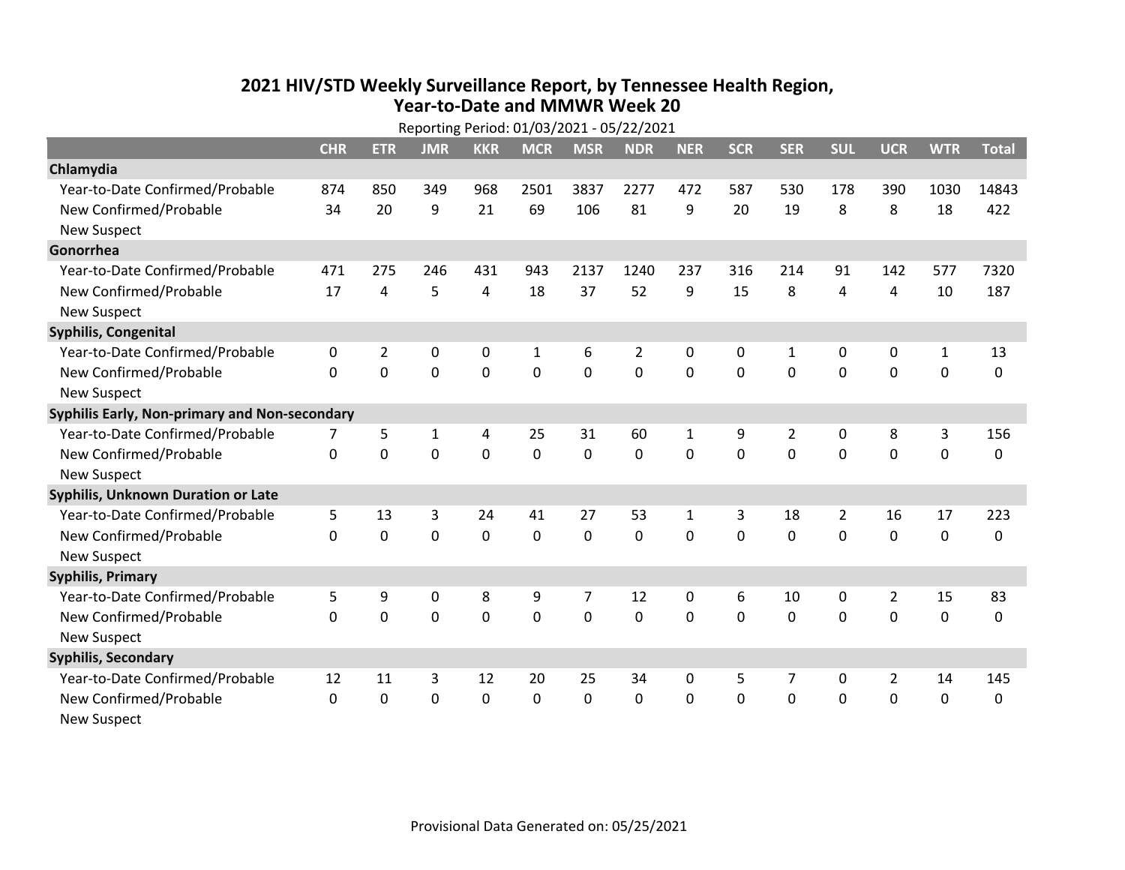## **2021 HIV /STD Weekly Surveillance Report, by Tennessee Health Region, Year‐to‐Date and MMWR Week 20** Reporting Period: 01/03/2021 ‐ 05/22/2021

|                                               | Reporting Period: 01/03/2021 - 05/22/2021 |             |             |                |              |             |            |              |            |             |                |                |              |              |
|-----------------------------------------------|-------------------------------------------|-------------|-------------|----------------|--------------|-------------|------------|--------------|------------|-------------|----------------|----------------|--------------|--------------|
|                                               | <b>CHR</b>                                | <b>ETR</b>  | <b>JMR</b>  | <b>KKR</b>     | <b>MCR</b>   | <b>MSR</b>  | <b>NDR</b> | <b>NER</b>   | <b>SCR</b> | <b>SER</b>  | <b>SUL</b>     | <b>UCR</b>     | <b>WTR</b>   | <b>Total</b> |
| Chlamydia                                     |                                           |             |             |                |              |             |            |              |            |             |                |                |              |              |
| Year-to-Date Confirmed/Probable               | 874                                       | 850         | 349         | 968            | 2501         | 3837        | 2277       | 472          | 587        | 530         | 178            | 390            | 1030         | 14843        |
| New Confirmed/Probable                        | 34                                        | 20          | 9           | 21             | 69           | 106         | 81         | 9            | 20         | 19          | 8              | 8              | 18           | 422          |
| <b>New Suspect</b>                            |                                           |             |             |                |              |             |            |              |            |             |                |                |              |              |
| Gonorrhea                                     |                                           |             |             |                |              |             |            |              |            |             |                |                |              |              |
| Year-to-Date Confirmed/Probable               | 471                                       | 275         | 246         | 431            | 943          | 2137        | 1240       | 237          | 316        | 214         | 91             | 142            | 577          | 7320         |
| New Confirmed/Probable                        | 17                                        | 4           | 5           | 4              | 18           | 37          | 52         | 9            | 15         | 8           | 4              | 4              | 10           | 187          |
| <b>New Suspect</b>                            |                                           |             |             |                |              |             |            |              |            |             |                |                |              |              |
| <b>Syphilis, Congenital</b>                   |                                           |             |             |                |              |             |            |              |            |             |                |                |              |              |
| Year-to-Date Confirmed/Probable               | 0                                         | 2           | 0           | 0              | $\mathbf{1}$ | 6           | 2          | 0            | 0          | 1           | 0              | 0              | $\mathbf{1}$ | 13           |
| New Confirmed/Probable                        | $\Omega$                                  | 0           | $\mathbf 0$ | $\overline{0}$ | $\mathbf 0$  | $\mathbf 0$ | 0          | $\Omega$     | $\Omega$   | $\Omega$    | $\mathbf 0$    | $\mathbf 0$    | $\mathbf 0$  | 0            |
| <b>New Suspect</b>                            |                                           |             |             |                |              |             |            |              |            |             |                |                |              |              |
| Syphilis Early, Non-primary and Non-secondary |                                           |             |             |                |              |             |            |              |            |             |                |                |              |              |
| Year-to-Date Confirmed/Probable               |                                           | 5           | 1           | 4              | 25           | 31          | 60         | $\mathbf{1}$ | 9          | 2           | 0              | 8              | 3            | 156          |
| New Confirmed/Probable                        | $\mathbf{0}$                              | 0           | 0           | 0              | $\mathbf 0$  | $\mathbf 0$ | 0          | $\Omega$     | 0          | $\mathbf 0$ | 0              | $\mathbf 0$    | $\mathbf 0$  | 0            |
| <b>New Suspect</b>                            |                                           |             |             |                |              |             |            |              |            |             |                |                |              |              |
| Syphilis, Unknown Duration or Late            |                                           |             |             |                |              |             |            |              |            |             |                |                |              |              |
| Year-to-Date Confirmed/Probable               | 5                                         | 13          | 3           | 24             | 41           | 27          | 53         | $\mathbf{1}$ | 3          | 18          | $\overline{2}$ | 16             | 17           | 223          |
| New Confirmed/Probable                        | $\mathbf{0}$                              | $\mathbf 0$ | 0           | 0              | $\mathbf 0$  | 0           | 0          | $\Omega$     | $\Omega$   | 0           | $\mathbf 0$    | $\mathbf 0$    | $\mathbf 0$  | 0            |
| <b>New Suspect</b>                            |                                           |             |             |                |              |             |            |              |            |             |                |                |              |              |
| <b>Syphilis, Primary</b>                      |                                           |             |             |                |              |             |            |              |            |             |                |                |              |              |
| Year-to-Date Confirmed/Probable               | 5                                         | 9           | $\mathbf 0$ | 8              | 9            | 7           | 12         | 0            | 6          | 10          | $\mathbf 0$    | $\overline{2}$ | 15           | 83           |
| New Confirmed/Probable                        | 0                                         | 0           | $\mathbf 0$ | $\overline{0}$ | $\mathbf 0$  | $\mathbf 0$ | 0          | $\Omega$     | $\Omega$   | 0           | 0              | $\mathbf 0$    | $\mathbf 0$  | 0            |
| <b>New Suspect</b>                            |                                           |             |             |                |              |             |            |              |            |             |                |                |              |              |
| <b>Syphilis, Secondary</b>                    |                                           |             |             |                |              |             |            |              |            |             |                |                |              |              |
| Year-to-Date Confirmed/Probable               | 12                                        | 11          | 3           | 12             | 20           | 25          | 34         | $\Omega$     | 5          | 7           | 0              | $\overline{2}$ | 14           | 145          |
| New Confirmed/Probable                        | $\mathbf{0}$                              | 0           | 0           | 0              | $\mathbf 0$  | 0           | 0          | $\mathbf{0}$ | $\Omega$   | 0           | 0              | 0              | $\mathbf 0$  | 0            |
| <b>New Suspect</b>                            |                                           |             |             |                |              |             |            |              |            |             |                |                |              |              |